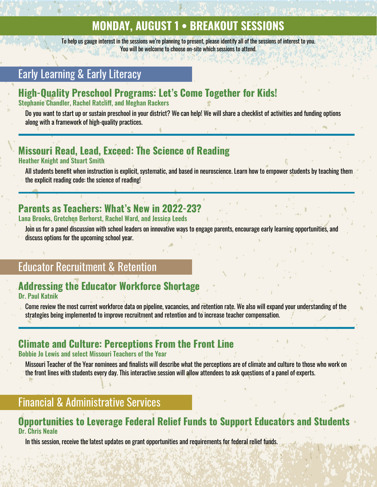To help us gauge interest in the sessions we're planning to present, please identify all of the sessions of interest to you. You will be welcome to choose on-site which sessions to attend.

## Early Learning & Early Literacy

## **High-Quality Preschool Programs: Let's Come Together for Kids!**

Stephanie Chandler, Rachel Ratcliff, and Meghan Rackers

Do you want to start up or sustain preschool in your district? We can help! We will share a checklist of activities and funding options along with a framework of high-quality practices.

## **Missouri Read, Lead, Exceed: The Science of Reading**

Heather Knight and Stuart Smith

All students benefit when instruction is explicit, systematic, and based in neuroscience. Learn how to empower students by teaching them the explicit reading code: the science of reading!

## **Parents as Teachers: What's New in 2022-23?**

Lana Brooks, Gretchen Berhorst, Rachel Ward, and Jessica Leeds

Join us for a panel discussion with school leaders on innovative ways to engage parents, encourage early learning opportunities, and discuss options for the upcoming school year.

## Educator Recruitment & Retention

## **Addressing the Educator Workforce Shortage**

Dr. Paul Katnik

Come review the most current workforce data on pipeline, vacancies, and retention rate. We also will expand your understanding of the strategies being implemented to improve recruitment and retention and to increase teacher compensation.

## **Climate and Culture: Perceptions From the Front Line**

Bobbie Jo Lewis and select Missouri Teachers of the Year

Missouri Teacher of the Year nominees and finalists will describe what the perceptions are of climate and culture to those who work on the front lines with students every day. This interactive session will allow attendees to ask questions of a panel of experts.

## Financial & Administrative Services

### **Opportunities to Leverage Federal Relief Funds to Support Educators and Student** Dr. Chris Neale

In this session, receive the latest updates on grant opportunities and requirements for federal relief funds.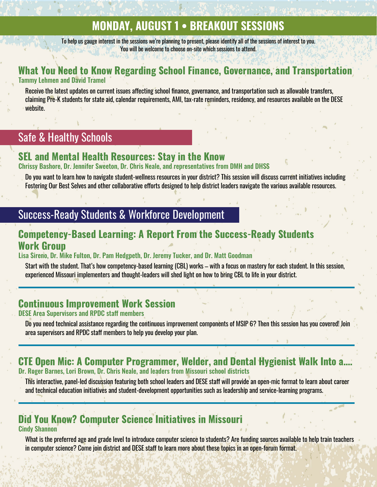To help us gauge interest in the sessions we're planning to present, please identify all of the sessions of interest to you. You will be welcome to choose on-site which sessions to attend.

# **What You Need to Know Regarding School Finance, Governance, and Transportation**

#### Tammy Lehmen and David Tramel

Receive the latest updates on current issues affecting school finance, governance, and transportation such as allowable transfers, claiming Pre-K students for state aid, calendar requirements, AMI, tax-rate reminders, residency, and resources available on the DESE website.

## Safe & Healthy Schools

### **SEL and Mental Health Resources: Stay in the Know**

Chrissy Bashore, Dr. Jennifer Sweeton, Dr. Chris Neale, and representatives from DMH and DHSS

Do you want to learn how to navigate student-wellness resources in your district? This session will discuss current initiatives including Fostering Our Best Selves and other collaborative efforts designed to help district leaders navigate the various available resources.

## Success-Ready Students & Workforce Development

### **Competency-Based Learning: A Report From the Success-Ready Students Work Group**

Lisa Sireno, Dr. Mike Fulton, Dr. Pam Hedgpeth, Dr. Jeremy Tucker, and Dr. Matt Goodman

Start with the student. That's how competency-based learning (CBL) works – with a focus on mastery for each student. In this session, experienced Missouri implementers and thought-leaders will shed light on how to bring CBL to life in your district.

## **Continuous Improvement Work Session**

DESE Area Supervisors and RPDC staff members

Do you need technical assistance regarding the continuous improvement components of MSIP 6? Then this session has you covered! Join area supervisors and RPDC staff members to help you develop your plan.

### **CTE Open Mic: A Computer Programmer, Welder, and Dental Hygienist Walk Into a….** Dr. Roger Barnes, Lori Brown, Dr. Chris Neale, and leaders from Missouri school districts

This interactive, panel-led discussion featuring both school leaders and DESE staff will provide an open-mic format to learn about career and technical education initiatives and student-development opportunities such as leadership and service-learning programs.

# **Did You Know? Computer Science Initiatives in Missouri**

#### Cindy Shannon

What is the preferred age and grade level to introduce computer science to students? Are funding sources available to help train teachers in computer science? Come join district and DESE staff to learn more about these topics in an open-forum format.